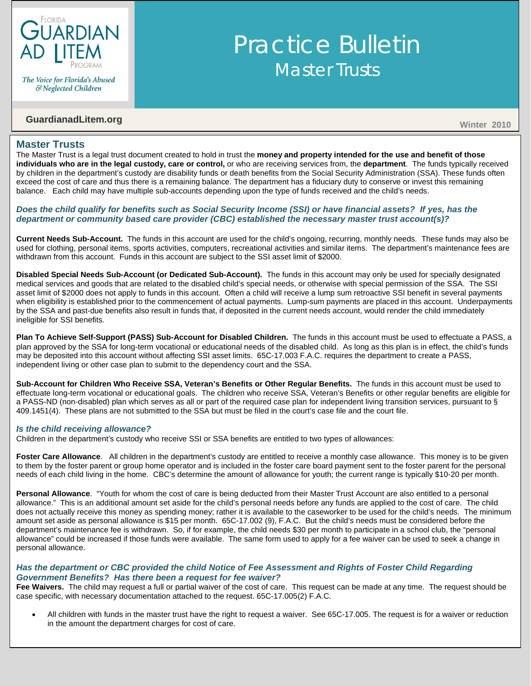

The Voice for Florida's Abused & Neglected Children

# **GuardianadLitem.org** Winter 2010

### **Master Trusts**

The Master Trust is a legal trust document created to hold in trust the **money and property intended for the use and benefit of those individuals who are in the legal custody, care or control,** or who are receiving services from, the **department**. The funds typically received by children in the department's custody are disability funds or death benefits from the Social Security Administration (SSA). These funds often exceed the cost of care and thus there is a remaining balance. The department has a fiduciary duty to conserve or invest this remaining balance. Each child may have multiple sub-accounts depending upon the type of funds received and the child's needs.

Practice Bulletin

**Master Trusts** 

### *Does the child qualify for benefits such as Social Security Income (SSI) or have financial assets? If yes, has the department or community based care provider (CBC) established the necessary master trust account(s)?*

**Current Needs Sub-Account.** The funds in this account are used for the child's ongoing, recurring, monthly needs. These funds may also be used for clothing, personal items, sports activities, computers, recreational activities and similar items. The department's maintenance fees are withdrawn from this account. Funds in this account are subject to the SSI asset limit of \$2000.

**Disabled Special Needs Sub-Account (or Dedicated Sub-Account).** The funds in this account may only be used for specially designated medical services and goods that are related to the disabled child's special needs, or otherwise with special permission of the SSA. The SSI asset limit of \$2000 does not apply to funds in this account. Often a child will receive a lump sum retroactive SSI benefit in several payments when eligibility is established prior to the commencement of actual payments. Lump-sum payments are placed in this account. Underpayments by the SSA and past-due benefits also result in funds that, if deposited in the current needs account, would render the child immediately ineligible for SSI benefits.

**Plan To Achieve Self-Support (PASS) Sub-Account for Disabled Children.** The funds in this account must be used to effectuate a PASS, a plan approved by the SSA for long-term vocational or educational needs of the disabled child. As long as this plan is in effect, the child's funds may be deposited into this account without affecting SSI asset limits. 65C-17.003 F.A.C. requires the department to create a PASS, independent living or other case plan to submit to the dependency court and the SSA.

**Sub-Account for Children Who Receive SSA, Veteran's Benefits or Other Regular Benefits.** The funds in this account must be used to effectuate long-term vocational or educational goals. The children who receive SSA, Veteran's Benefits or other regular benefits are eligible for a PASS-ND (non-disabled) plan which serves as all or part of the required case plan for independent living transition services, pursuant to § 409.1451(4). These plans are not submitted to the SSA but must be filed in the court's case file and the court file.

#### *Is the child receiving allowance?*

Children in the department's custody who receive SSI or SSA benefits are entitled to two types of allowances:

**Foster Care Allowance**. All children in the department's custody are entitled to receive a monthly case allowance. This money is to be given to them by the foster parent or group home operator and is included in the foster care board payment sent to the foster parent for the personal needs of each child living in the home. CBC's determine the amount of allowance for youth; the current range is typically \$10-20 per month.

**Personal Allowance**. "Youth for whom the cost of care is being deducted from their Master Trust Account are also entitled to a personal allowance." This is an additional amount set aside for the child's personal needs before any funds are applied to the cost of care. The child does not actually receive this money as spending money; rather it is available to the caseworker to be used for the child's needs. The minimum amount set aside as personal allowance is \$15 per month. 65C-17.002 (9), F.A.C. But the child's needs must be considered before the department's maintenance fee is withdrawn. So, if for example, the child needs \$30 per month to participate in a school club, the "personal allowance" could be increased if those funds were available. The same form used to apply for a fee waiver can be used to seek a change in personal allowance.

#### *Has the department or CBC provided the child Notice of Fee Assessment and Rights of Foster Child Regarding Government Benefits? Has there been a request for fee waiver?*

**Fee Waivers.** The child may request a full or partial waiver of the cost of care. This request can be made at any time. The request should be case specific, with necessary documentation attached to the request. 65C-17.005(2) F.A.C.

• All children with funds in the master trust have the right to request a waiver. See 65C-17.005. The request is for a waiver or reduction in the amount the department charges for cost of care.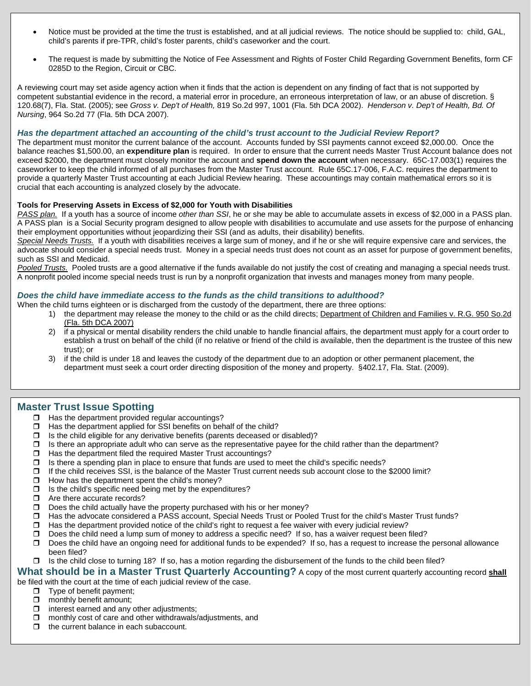- Notice must be provided at the time the trust is established, and at all judicial reviews. The notice should be supplied to: child, GAL, child's parents if pre-TPR, child's foster parents, child's caseworker and the court.
- The request is made by submitting the Notice of Fee Assessment and Rights of Foster Child Regarding Government Benefits, form CF 0285D to the Region, Circuit or CBC.

A reviewing court may set aside agency action when it finds that the action is dependent on any finding of fact that is not supported by competent substantial evidence in the record, a material error in procedure, an erroneous interpretation of law, or an abuse of discretion. § 120.68(7), Fla. Stat. (2005); see *Gross v. Dep't of Health,* 819 So.2d 997, 1001 (Fla. 5th DCA 2002). *Henderson v. Dep't of Health, Bd. Of Nursing*, 964 So.2d 77 (Fla. 5th DCA 2007).

#### *Has the department attached an accounting of the child's trust account to the Judicial Review Report?*

The department must monitor the current balance of the account. Accounts funded by SSI payments cannot exceed \$2,000.00. Once the balance reaches \$1,500.00, an **expenditure plan** is required. In order to ensure that the current needs Master Trust Account balance does not exceed \$2000, the department must closely monitor the account and **spend down the account** when necessary. 65C-17.003(1) requires the caseworker to keep the child informed of all purchases from the Master Trust account. Rule 65C.17-006, F.A.C. requires the department to provide a quarterly Master Trust accounting at each Judicial Review hearing. These accountings may contain mathematical errors so it is crucial that each accounting is analyzed closely by the advocate.

#### **Tools for Preserving Assets in Excess of \$2,000 for Youth with Disabilities**

*PASS plan.* If a youth has a source of income *other than SSI*, he or she may be able to accumulate assets in excess of \$2,000 in a PASS plan. A PASS plan is a Social Security program designed to allow people with disabilities to accumulate and use assets for the purpose of enhancing their employment opportunities without jeopardizing their SSI (and as adults, their disability) benefits.

*Special Needs Trusts.*If a youth with disabilities receives a large sum of money, and if he or she will require expensive care and services, the advocate should consider a special needs trust. Money in a special needs trust does not count as an asset for purpose of government benefits, such as SSI and Medicaid.

*Pooled Trusts.*Pooled trusts are a good alternative if the funds available do not justify the cost of creating and managing a special needs trust. A nonprofit pooled income special needs trust is run by a nonprofit organization that invests and manages money from many people.

#### *Does the child have immediate access to the funds as the child transitions to adulthood?*

When the child turns eighteen or is discharged from the custody of the department, there are three options:

- 1) the department may release the money to the child or as the child directs; Department of Children and Families v. R.G. 950 So.2d (Fla. 5th DCA 2007)
- 2) if a physical or mental disability renders the child unable to handle financial affairs, the department must apply for a court order to establish a trust on behalf of the child (if no relative or friend of the child is available, then the department is the trustee of this new trust); or
- 3) if the child is under 18 and leaves the custody of the department due to an adoption or other permanent placement, the department must seek a court order directing disposition of the money and property. §402.17, Fla. Stat. (2009).

# **Master Trust Issue Spotting**

- $\Box$  Has the department provided regular accountings?
- $\Box$  Has the department applied for SSI benefits on behalf of the child?
- 
- $\Box$  Is the child eligible for any derivative benefits (parents deceased or disabled)?<br> $\Box$  Is there an appropriate adult who can serve as the representative pavee for the  $\Box$  Is there an appropriate adult who can serve as the representative payee for the child rather than the department?<br> $\Box$  Has the department filed the required Master Trust accountings?
- 
- $\Box$  Has the department filed the required Master Trust accountings?<br> $\Box$  Is there a spending plan in place to ensure that funds are used to Is there a spending plan in place to ensure that funds are used to meet the child's specific needs?
- $\Box$  If the child receives SSI, is the balance of the Master Trust current needs sub account close to the \$2000 limit?
- $\Box$  How has the department spent the child's money?
- $\Box$  Is the child's specific need being met by the expenditures?
- □ Are there accurate records?
- $\square$  Does the child actually have the property purchased with his or her money?
- Has the advocate considered a PASS account, Special Needs Trust or Pooled Trust for the child's Master Trust funds?
- $\Box$  Has the department provided notice of the child's right to request a fee waiver with every judicial review?
- $\Box$  Does the child need a lump sum of money to address a specific need? If so, has a waiver request been filed?  $\Box$  Does the child have an ongoing need for additional funds to be expended? If so, has a request to increa
- Does the child have an ongoing need for additional funds to be expended? If so, has a request to increase the personal allowance been filed?
- $\Box$  Is the child close to turning 18? If so, has a motion regarding the disbursement of the funds to the child been filed?

# **What should be in a Master Trust Quarterly Accounting?** A copy of the most current quarterly accounting record **shall**

be filed with the court at the time of each judicial review of the case.

- $\Box$  Type of benefit payment;<br> $\Box$  monthly benefit amount:
- $\Box$  monthly benefit amount;<br> $\Box$  interest earned and any
- interest earned and any other adjustments;
- $\Box$  monthly cost of care and other withdrawals/adjustments, and
- $\Box$  the current balance in each subaccount.